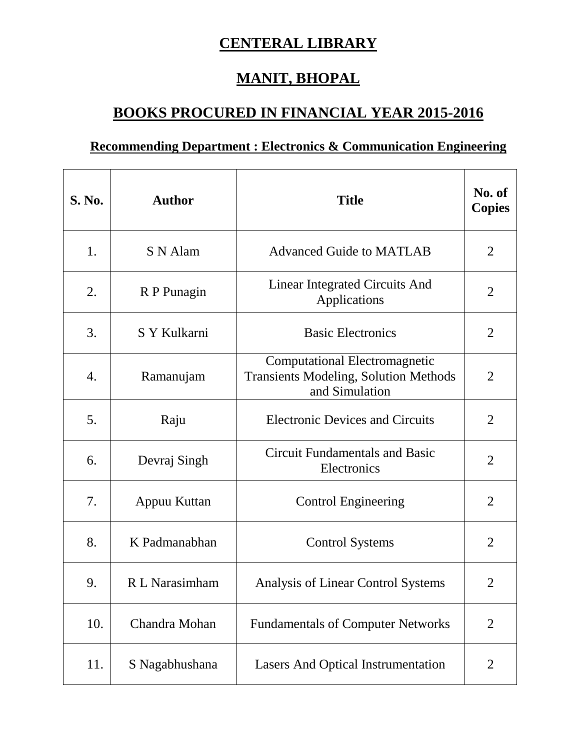## **CENTERAL LIBRARY**

## **MANIT, BHOPAL**

## **BOOKS PROCURED IN FINANCIAL YEAR 2015-2016**

## **Recommending Department : Electronics & Communication Engineering**

| <b>S. No.</b> | <b>Author</b>  | <b>Title</b>                                                                                           | No. of<br><b>Copies</b> |
|---------------|----------------|--------------------------------------------------------------------------------------------------------|-------------------------|
| 1.            | S N Alam       | <b>Advanced Guide to MATLAB</b>                                                                        | $\overline{2}$          |
| 2.            | R P Punagin    | <b>Linear Integrated Circuits And</b><br>Applications                                                  | $\overline{2}$          |
| 3.            | S Y Kulkarni   | <b>Basic Electronics</b>                                                                               | $\overline{2}$          |
| 4.            | Ramanujam      | <b>Computational Electromagnetic</b><br><b>Transients Modeling, Solution Methods</b><br>and Simulation | 2                       |
| 5.            | Raju           | <b>Electronic Devices and Circuits</b>                                                                 | $\overline{2}$          |
| 6.            | Devraj Singh   | <b>Circuit Fundamentals and Basic</b><br>Electronics                                                   | $\overline{2}$          |
| 7.            | Appuu Kuttan   | <b>Control Engineering</b>                                                                             | $\overline{2}$          |
| 8.            | K Padmanabhan  | <b>Control Systems</b>                                                                                 | $\overline{2}$          |
| 9.            | R L Narasimham | Analysis of Linear Control Systems                                                                     | $\overline{2}$          |
| 10.           | Chandra Mohan  | <b>Fundamentals of Computer Networks</b>                                                               | $\overline{2}$          |
| 11.           | S Nagabhushana | <b>Lasers And Optical Instrumentation</b>                                                              | $\overline{2}$          |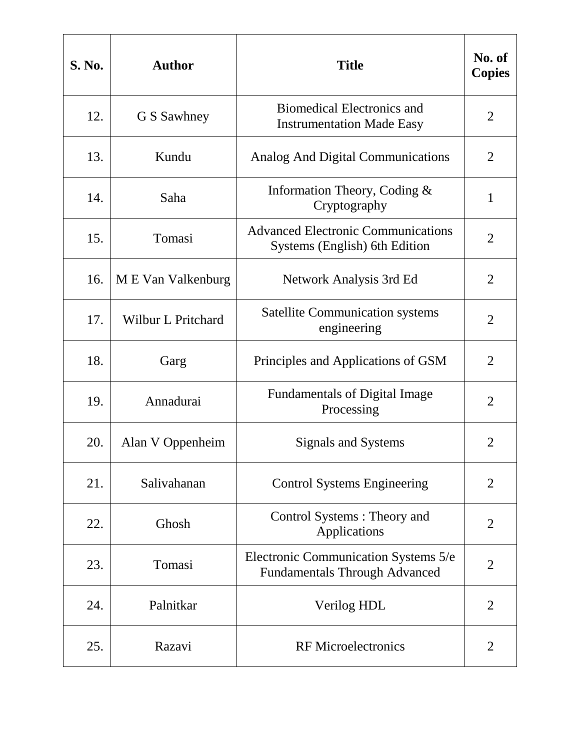| <b>S. No.</b> | <b>Author</b>             | <b>Title</b>                                                                 | No. of<br><b>Copies</b> |
|---------------|---------------------------|------------------------------------------------------------------------------|-------------------------|
| 12.           | G S Sawhney               | <b>Biomedical Electronics and</b><br><b>Instrumentation Made Easy</b>        | $\overline{2}$          |
| 13.           | Kundu                     | Analog And Digital Communications                                            | $\overline{2}$          |
| 14.           | Saha                      | Information Theory, Coding &<br>Cryptography                                 | $\mathbf{1}$            |
| 15.           | Tomasi                    | <b>Advanced Electronic Communications</b><br>Systems (English) 6th Edition   | $\overline{2}$          |
| 16.           | M E Van Valkenburg        | Network Analysis 3rd Ed                                                      | $\overline{2}$          |
| 17.           | <b>Wilbur L Pritchard</b> | <b>Satellite Communication systems</b><br>engineering                        | $\overline{2}$          |
| 18.           | Garg                      | Principles and Applications of GSM                                           | $\overline{2}$          |
| 19.           | Annadurai                 | <b>Fundamentals of Digital Image</b><br>Processing                           | $\overline{2}$          |
| 20.           | Alan V Oppenheim          | Signals and Systems                                                          | $\overline{2}$          |
| 21.           | Salivahanan               | <b>Control Systems Engineering</b>                                           | $\overline{2}$          |
| 22.           | Ghosh                     | Control Systems: Theory and<br>Applications                                  | $\overline{2}$          |
| 23.           | Tomasi                    | Electronic Communication Systems 5/e<br><b>Fundamentals Through Advanced</b> | $\overline{2}$          |
| 24.           | Palnitkar                 | Verilog HDL                                                                  | $\overline{2}$          |
| 25.           | Razavi                    | <b>RF</b> Microelectronics                                                   | 2                       |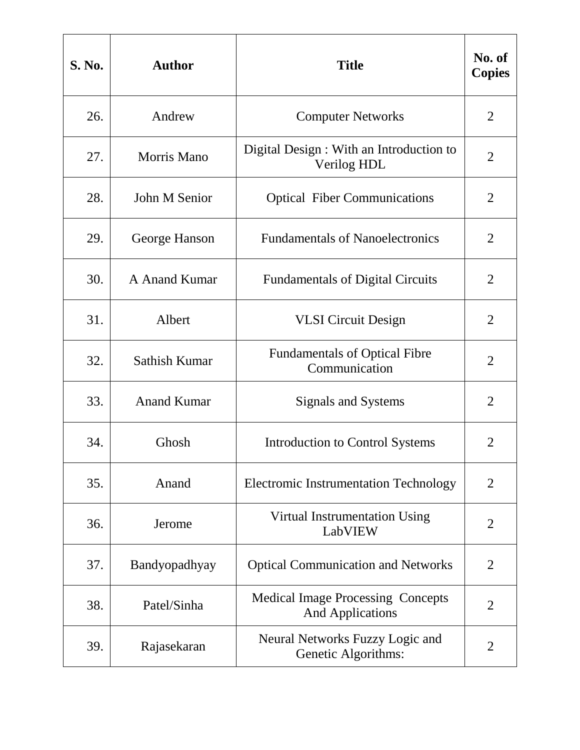| S. No. | <b>Author</b>      | <b>Title</b>                                                        | No. of<br><b>Copies</b> |
|--------|--------------------|---------------------------------------------------------------------|-------------------------|
| 26.    | Andrew             | <b>Computer Networks</b>                                            | $\overline{2}$          |
| 27.    | Morris Mano        | Digital Design : With an Introduction to<br>Verilog HDL             | 2                       |
| 28.    | John M Senior      | <b>Optical Fiber Communications</b>                                 | $\overline{2}$          |
| 29.    | George Hanson      | <b>Fundamentals of Nanoelectronics</b>                              | $\overline{2}$          |
| 30.    | A Anand Kumar      | <b>Fundamentals of Digital Circuits</b>                             | $\overline{2}$          |
| 31.    | Albert             | <b>VLSI</b> Circuit Design                                          | $\overline{2}$          |
| 32.    | Sathish Kumar      | <b>Fundamentals of Optical Fibre</b><br>Communication               | $\overline{2}$          |
| 33.    | <b>Anand Kumar</b> | Signals and Systems                                                 | $\overline{2}$          |
| 34.    | Ghosh              | Introduction to Control Systems                                     | 2                       |
| 35.    | Anand              | <b>Electromic Instrumentation Technology</b>                        | $\overline{2}$          |
| 36.    | Jerome             | Virtual Instrumentation Using<br>LabVIEW                            | $\overline{2}$          |
| 37.    | Bandyopadhyay      | <b>Optical Communication and Networks</b>                           | $\overline{2}$          |
| 38.    | Patel/Sinha        | <b>Medical Image Processing Concepts</b><br><b>And Applications</b> | $\overline{2}$          |
| 39.    | Rajasekaran        | Neural Networks Fuzzy Logic and<br>Genetic Algorithms:              | $\overline{2}$          |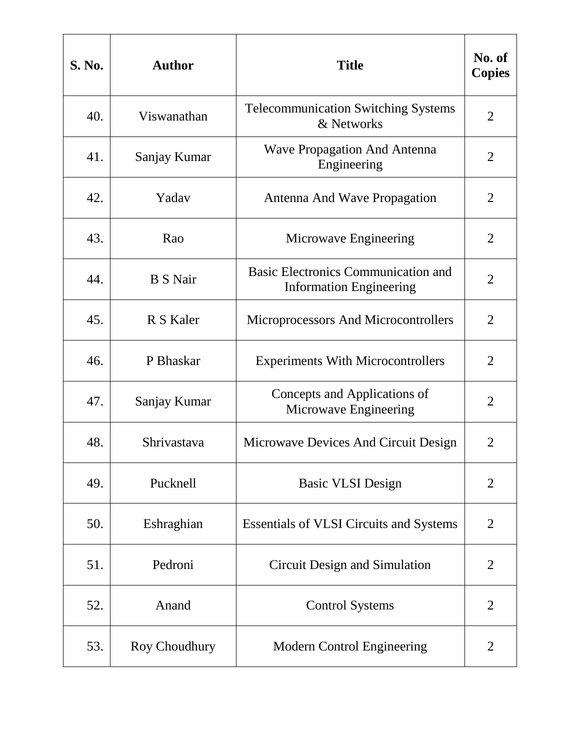| <b>S. No.</b> | <b>Author</b>   | <b>Title</b>                                                          | No. of<br><b>Copies</b> |
|---------------|-----------------|-----------------------------------------------------------------------|-------------------------|
| 40.           | Viswanathan     | <b>Telecommunication Switching Systems</b><br>& Networks              | $\overline{2}$          |
| 41.           | Sanjay Kumar    | <b>Wave Propagation And Antenna</b><br>Engineering                    | 2                       |
| 42.           | Yadav           | Antenna And Wave Propagation                                          | $\overline{2}$          |
| 43.           | Rao             | Microwave Engineering                                                 | $\overline{2}$          |
| 44.           | <b>B</b> S Nair | Basic Electronics Communication and<br><b>Information Engineering</b> | $\overline{2}$          |
| 45.           | R S Kaler       | Microprocessors And Microcontrollers                                  | $\overline{2}$          |
| 46.           | P Bhaskar       | <b>Experiments With Microcontrollers</b>                              | $\overline{2}$          |
| 47.           | Sanjay Kumar    | Concepts and Applications of<br>Microwave Engineering                 | $\overline{2}$          |
| 48.           | Shrivastava     | Microwave Devices And Circuit Design                                  | $\overline{2}$          |
| 49.           | Pucknell        | <b>Basic VLSI Design</b>                                              | $\overline{2}$          |
| 50.           | Eshraghian      | <b>Essentials of VLSI Circuits and Systems</b>                        | $\overline{2}$          |
| 51.           | Pedroni         | Circuit Design and Simulation                                         | $\overline{2}$          |
| 52.           | Anand           | <b>Control Systems</b>                                                | $\overline{2}$          |
| 53.           | Roy Choudhury   | <b>Modern Control Engineering</b>                                     | 2                       |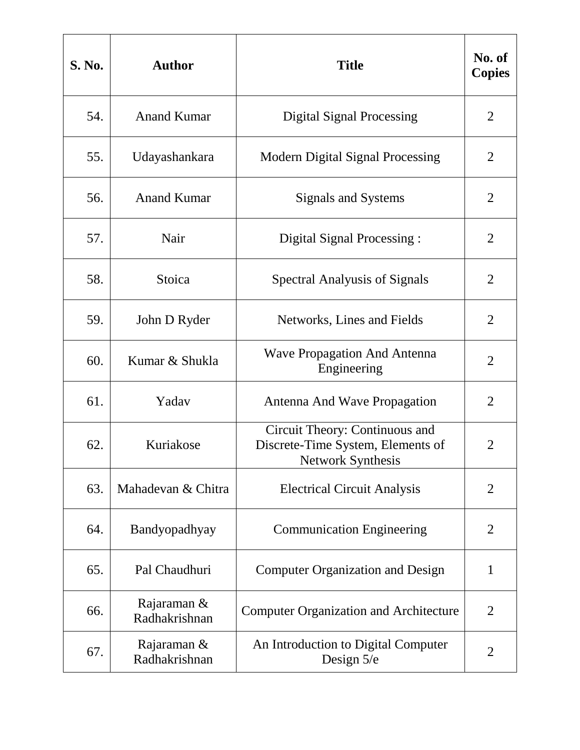| S. No. | <b>Author</b>                | <b>Title</b>                                                                             | No. of<br><b>Copies</b> |
|--------|------------------------------|------------------------------------------------------------------------------------------|-------------------------|
| 54.    | <b>Anand Kumar</b>           | <b>Digital Signal Processing</b>                                                         | 2                       |
| 55.    | Udayashankara                | <b>Modern Digital Signal Processing</b>                                                  | $\overline{2}$          |
| 56.    | <b>Anand Kumar</b>           | Signals and Systems                                                                      | $\overline{2}$          |
| 57.    | Nair                         | Digital Signal Processing:                                                               | $\overline{2}$          |
| 58.    | Stoica                       | <b>Spectral Analyusis of Signals</b>                                                     | $\overline{2}$          |
| 59.    | John D Ryder                 | Networks, Lines and Fields                                                               | $\overline{2}$          |
| 60.    | Kumar & Shukla               | <b>Wave Propagation And Antenna</b><br>Engineering                                       | $\overline{2}$          |
| 61.    | Yadav                        | Antenna And Wave Propagation                                                             | $\overline{2}$          |
| 62.    | Kuriakose                    | Circuit Theory: Continuous and<br>Discrete-Time System, Elements of<br>Network Synthesis | $\overline{2}$          |
| 63.    | Mahadevan & Chitra           | <b>Electrical Circuit Analysis</b>                                                       | $\overline{2}$          |
| 64.    | Bandyopadhyay                | <b>Communication Engineering</b>                                                         | $\overline{2}$          |
| 65.    | Pal Chaudhuri                | <b>Computer Organization and Design</b>                                                  | $\mathbf{1}$            |
| 66.    | Rajaraman &<br>Radhakrishnan | <b>Computer Organization and Architecture</b>                                            | $\overline{2}$          |
| 67.    | Rajaraman &<br>Radhakrishnan | An Introduction to Digital Computer<br>Design 5/e                                        | $\overline{2}$          |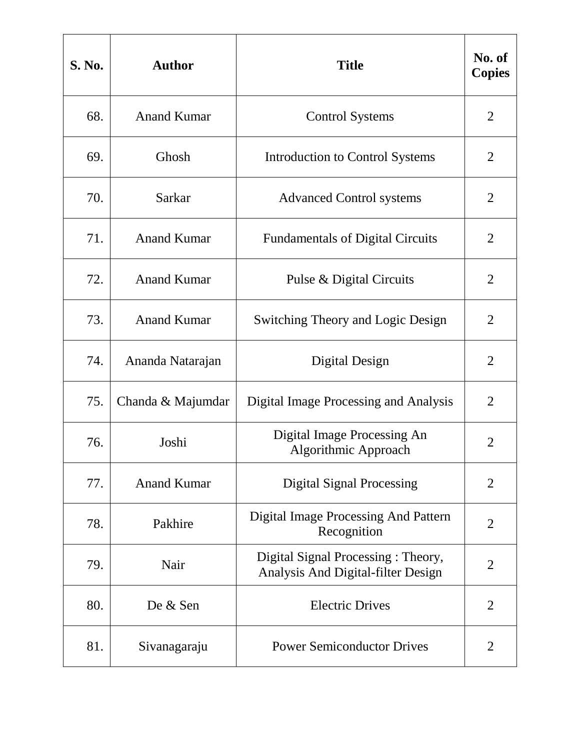| S. No. | <b>Author</b>      | <b>Title</b>                                                             | No. of<br><b>Copies</b> |
|--------|--------------------|--------------------------------------------------------------------------|-------------------------|
| 68.    | <b>Anand Kumar</b> | <b>Control Systems</b>                                                   | $\overline{2}$          |
| 69.    | Ghosh              | Introduction to Control Systems                                          | 2                       |
| 70.    | Sarkar             | <b>Advanced Control systems</b>                                          | $\overline{2}$          |
| 71.    | <b>Anand Kumar</b> | <b>Fundamentals of Digital Circuits</b>                                  | $\overline{2}$          |
| 72.    | <b>Anand Kumar</b> | Pulse & Digital Circuits                                                 | $\overline{2}$          |
| 73.    | <b>Anand Kumar</b> | <b>Switching Theory and Logic Design</b>                                 | $\overline{2}$          |
| 74.    | Ananda Natarajan   | Digital Design                                                           | $\overline{2}$          |
| 75.    | Chanda & Majumdar  | Digital Image Processing and Analysis                                    | $\overline{2}$          |
| 76.    | Joshi              | Digital Image Processing An<br>Algorithmic Approach                      | $\overline{2}$          |
| 77.    | <b>Anand Kumar</b> | <b>Digital Signal Processing</b>                                         | $\overline{2}$          |
| 78.    | Pakhire            | <b>Digital Image Processing And Pattern</b><br>Recognition               | $\overline{2}$          |
| 79.    | Nair               | Digital Signal Processing: Theory,<br>Analysis And Digital-filter Design | $\overline{2}$          |
| 80.    | De & Sen           | <b>Electric Drives</b>                                                   | $\overline{2}$          |
| 81.    | Sivanagaraju       | <b>Power Semiconductor Drives</b>                                        | 2                       |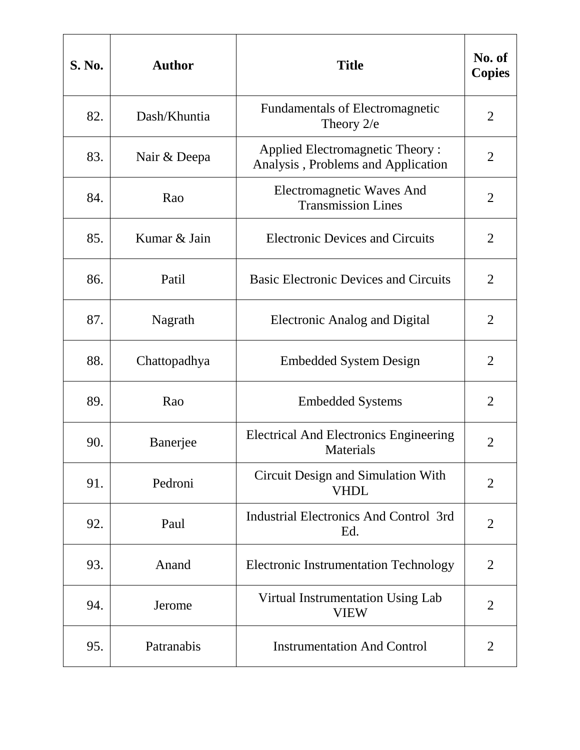| <b>S. No.</b> | <b>Author</b> | <b>Title</b>                                                                 | No. of<br><b>Copies</b> |
|---------------|---------------|------------------------------------------------------------------------------|-------------------------|
| 82.           | Dash/Khuntia  | <b>Fundamentals of Electromagnetic</b><br>Theory $2/e$                       | $\overline{2}$          |
| 83.           | Nair & Deepa  | <b>Applied Electromagnetic Theory:</b><br>Analysis, Problems and Application | 2                       |
| 84.           | Rao           | <b>Electromagnetic Waves And</b><br><b>Transmission Lines</b>                | $\overline{2}$          |
| 85.           | Kumar & Jain  | <b>Electronic Devices and Circuits</b>                                       | $\overline{2}$          |
| 86.           | Patil         | <b>Basic Electronic Devices and Circuits</b>                                 | $\overline{2}$          |
| 87.           | Nagrath       | <b>Electronic Analog and Digital</b>                                         | $\overline{2}$          |
| 88.           | Chattopadhya  | <b>Embedded System Design</b>                                                | $\overline{2}$          |
| 89.           | Rao           | <b>Embedded Systems</b>                                                      | $\overline{2}$          |
| 90.           | Banerjee      | <b>Electrical And Electronics Engineering</b><br>Materials                   | $\overline{2}$          |
| 91.           | Pedroni       | Circuit Design and Simulation With<br><b>VHDL</b>                            | $\overline{2}$          |
| 92.           | Paul          | <b>Industrial Electronics And Control 3rd</b><br>Ed.                         | $\overline{2}$          |
| 93.           | Anand         | <b>Electronic Instrumentation Technology</b>                                 | $\overline{2}$          |
| 94.           | Jerome        | Virtual Instrumentation Using Lab<br><b>VIEW</b>                             | $\overline{2}$          |
| 95.           | Patranabis    | <b>Instrumentation And Control</b>                                           | 2                       |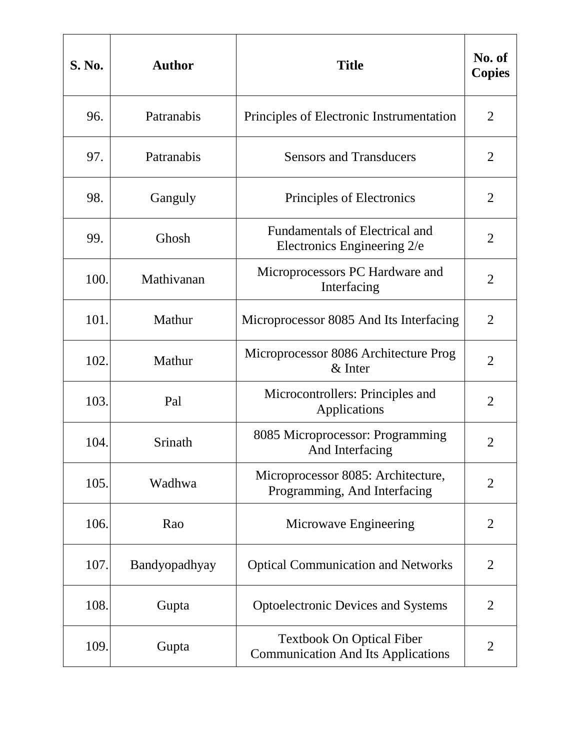| <b>S. No.</b> | <b>Author</b> | <b>Title</b>                                                                  | No. of<br><b>Copies</b> |
|---------------|---------------|-------------------------------------------------------------------------------|-------------------------|
| 96.           | Patranabis    | Principles of Electronic Instrumentation                                      | $\overline{2}$          |
| 97.           | Patranabis    | <b>Sensors and Transducers</b>                                                | 2                       |
| 98.           | Ganguly       | Principles of Electronics                                                     | $\overline{2}$          |
| 99.           | Ghosh         | Fundamentals of Electrical and<br>Electronics Engineering 2/e                 | $\overline{2}$          |
| 100.          | Mathivanan    | Microprocessors PC Hardware and<br>Interfacing                                | $\overline{2}$          |
| 101.          | Mathur        | Microprocessor 8085 And Its Interfacing                                       | $\overline{2}$          |
| 102.          | Mathur        | Microprocessor 8086 Architecture Prog<br>$&$ Inter                            | $\overline{2}$          |
| 103.          | Pal           | Microcontrollers: Principles and<br>Applications                              | $\overline{2}$          |
| 104.          | Srinath       | 8085 Microprocessor: Programming<br>And Interfacing                           | $\overline{2}$          |
| 105.          | Wadhwa        | Microprocessor 8085: Architecture,<br>Programming, And Interfacing            | $\overline{2}$          |
| 106.          | Rao           | Microwave Engineering                                                         | $\overline{2}$          |
| 107.          | Bandyopadhyay | <b>Optical Communication and Networks</b>                                     | $\overline{2}$          |
| 108.          | Gupta         | <b>Optoelectronic Devices and Systems</b>                                     | $\overline{2}$          |
| 109.          | Gupta         | <b>Textbook On Optical Fiber</b><br><b>Communication And Its Applications</b> | 2                       |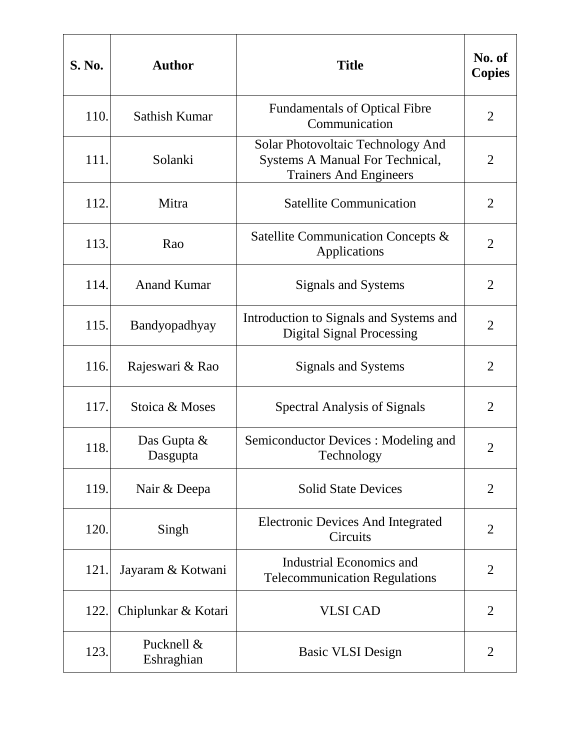| <b>S. No.</b> | <b>Author</b>            | <b>Title</b>                                                                                          | No. of<br><b>Copies</b> |
|---------------|--------------------------|-------------------------------------------------------------------------------------------------------|-------------------------|
| 110.          | Sathish Kumar            | <b>Fundamentals of Optical Fibre</b><br>Communication                                                 | $\overline{2}$          |
| 111.          | Solanki                  | Solar Photovoltaic Technology And<br>Systems A Manual For Technical,<br><b>Trainers And Engineers</b> | $\overline{2}$          |
| 112.          | Mitra                    | <b>Satellite Communication</b>                                                                        | $\overline{2}$          |
| 113.          | Rao                      | Satellite Communication Concepts &<br>Applications                                                    | $\overline{2}$          |
| 114.          | <b>Anand Kumar</b>       | Signals and Systems                                                                                   | $\overline{2}$          |
| 115.          | Bandyopadhyay            | Introduction to Signals and Systems and<br><b>Digital Signal Processing</b>                           | $\overline{2}$          |
| 116.          | Rajeswari & Rao          | Signals and Systems                                                                                   | $\overline{2}$          |
| 117.          | Stoica & Moses           | <b>Spectral Analysis of Signals</b>                                                                   | $\overline{2}$          |
| 118.          | Das Gupta &<br>Dasgupta  | Semiconductor Devices : Modeling and<br>Technology                                                    | $\overline{2}$          |
| 119.          | Nair & Deepa             | <b>Solid State Devices</b>                                                                            | $\overline{2}$          |
| 120.          | Singh                    | <b>Electronic Devices And Integrated</b><br>Circuits                                                  | $\overline{2}$          |
| 121.          | Jayaram & Kotwani        | Industrial Economics and<br><b>Telecommunication Regulations</b>                                      | $\overline{2}$          |
| 122.          | Chiplunkar & Kotari      | <b>VLSI CAD</b>                                                                                       | 2                       |
| 123.          | Pucknell &<br>Eshraghian | <b>Basic VLSI Design</b>                                                                              | 2                       |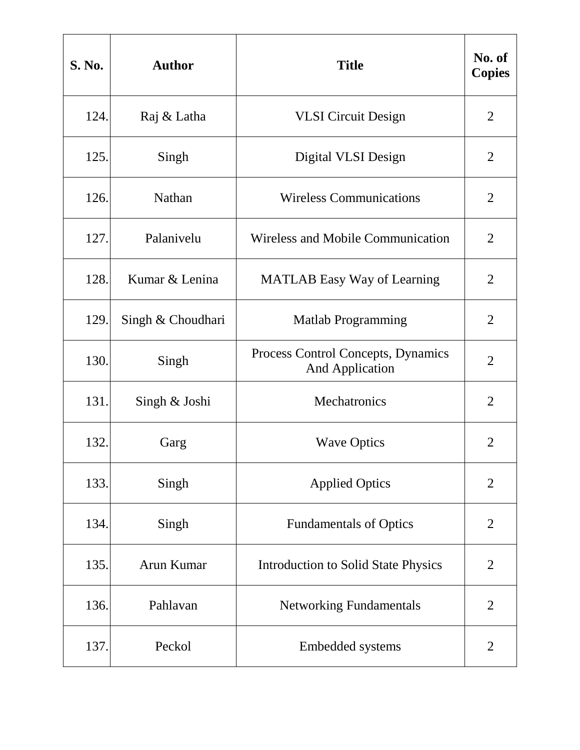| <b>S. No.</b> | <b>Author</b>     | <b>Title</b>                                                 | No. of<br><b>Copies</b> |
|---------------|-------------------|--------------------------------------------------------------|-------------------------|
| 124.          | Raj & Latha       | <b>VLSI</b> Circuit Design                                   | $\overline{2}$          |
| 125.          | Singh             | Digital VLSI Design                                          | 2                       |
| 126.          | Nathan            | <b>Wireless Communications</b>                               | $\overline{2}$          |
| 127.          | Palanivelu        | Wireless and Mobile Communication                            | $\overline{2}$          |
| 128.          | Kumar & Lenina    | <b>MATLAB</b> Easy Way of Learning                           | $\overline{2}$          |
| 129.          | Singh & Choudhari | <b>Matlab Programming</b>                                    | $\overline{2}$          |
| 130.          | Singh             | Process Control Concepts, Dynamics<br><b>And Application</b> | $\overline{2}$          |
| 131.          | Singh & Joshi     | Mechatronics                                                 | $\overline{2}$          |
| 132.          | Garg              | <b>Wave Optics</b>                                           | $\overline{2}$          |
| 133.          | Singh             | <b>Applied Optics</b>                                        | $\overline{2}$          |
| 134.          | Singh             | <b>Fundamentals of Optics</b>                                | $\overline{2}$          |
| 135.          | Arun Kumar        | <b>Introduction to Solid State Physics</b>                   | $\overline{2}$          |
| 136.          | Pahlavan          | <b>Networking Fundamentals</b>                               | $\overline{2}$          |
| 137.          | Peckol            | Embedded systems                                             | $\overline{2}$          |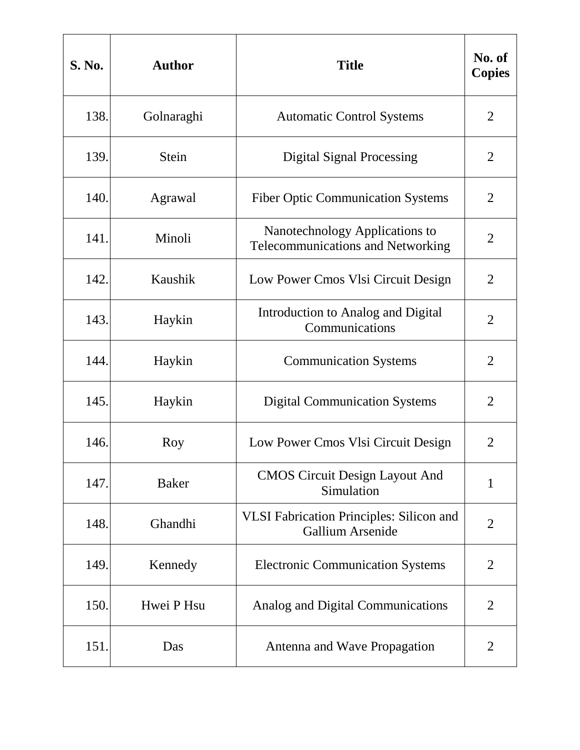| <b>S. No.</b> | <b>Author</b> | <b>Title</b>                                                               | No. of<br><b>Copies</b> |
|---------------|---------------|----------------------------------------------------------------------------|-------------------------|
| 138.          | Golnaraghi    | <b>Automatic Control Systems</b>                                           | $\overline{2}$          |
| 139.          | <b>Stein</b>  | <b>Digital Signal Processing</b>                                           | 2                       |
| 140.          | Agrawal       | <b>Fiber Optic Communication Systems</b>                                   | $\overline{2}$          |
| 141.          | Minoli        | Nanotechnology Applications to<br><b>Telecommunications and Networking</b> | $\overline{2}$          |
| 142.          | Kaushik       | Low Power Cmos Vlsi Circuit Design                                         | $\overline{2}$          |
| 143.          | Haykin        | Introduction to Analog and Digital<br>Communications                       | $\overline{2}$          |
| 144.          | Haykin        | <b>Communication Systems</b>                                               | $\overline{2}$          |
| 145.          | Haykin        | <b>Digital Communication Systems</b>                                       | $\overline{2}$          |
| 146.          | Roy           | Low Power Cmos Vlsi Circuit Design                                         | $\overline{2}$          |
| 147.          | <b>Baker</b>  | <b>CMOS Circuit Design Layout And</b><br>Simulation                        | $\mathbf{1}$            |
| 148.          | Ghandhi       | <b>VLSI Fabrication Principles: Silicon and</b><br>Gallium Arsenide        | $\overline{2}$          |
| 149.          | Kennedy       | <b>Electronic Communication Systems</b>                                    | $\overline{2}$          |
| 150.          | Hwei P Hsu    | Analog and Digital Communications                                          | $\overline{2}$          |
| 151.          | Das           | Antenna and Wave Propagation                                               | 2                       |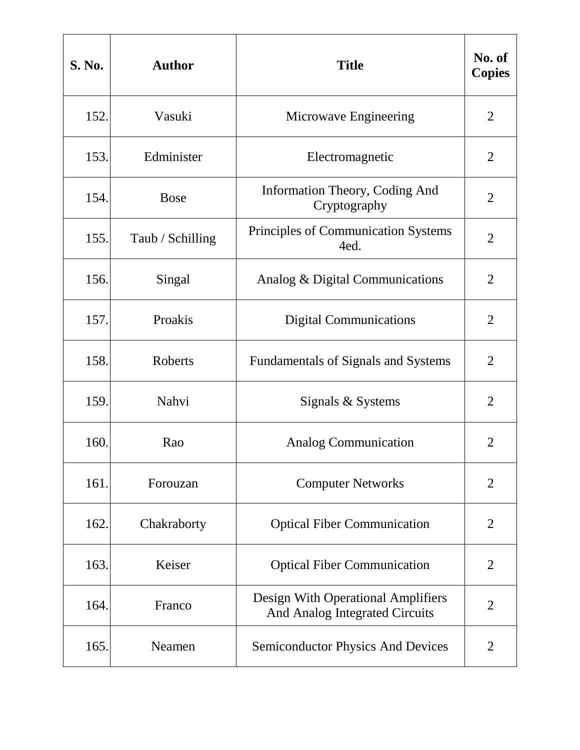| <b>S. No.</b> | <b>Author</b>    | <b>Title</b>                                                         | No. of<br><b>Copies</b> |
|---------------|------------------|----------------------------------------------------------------------|-------------------------|
| 152.          | Vasuki           | Microwave Engineering                                                | $\overline{2}$          |
| 153.          | Edminister       | Electromagnetic                                                      | $\overline{2}$          |
| 154.          | <b>Bose</b>      | Information Theory, Coding And<br>Cryptography                       | $\overline{2}$          |
| 155.          | Taub / Schilling | Principles of Communication Systems<br>4ed.                          | $\overline{2}$          |
| 156.          | Singal           | Analog & Digital Communications                                      | $\overline{2}$          |
| 157.          | Proakis          | <b>Digital Communications</b>                                        | $\overline{2}$          |
| 158.          | Roberts          | Fundamentals of Signals and Systems                                  | $\overline{2}$          |
| 159.          | Nahvi            | Signals & Systems                                                    | $\overline{2}$          |
| 160.          | Rao              | <b>Analog Communication</b>                                          | $\overline{2}$          |
| 161.          | Forouzan         | <b>Computer Networks</b>                                             | $\overline{2}$          |
| 162.          | Chakraborty      | <b>Optical Fiber Communication</b>                                   | $\overline{2}$          |
| 163.          | Keiser           | <b>Optical Fiber Communication</b>                                   | $\overline{2}$          |
| 164.          | Franco           | Design With Operational Amplifiers<br>And Analog Integrated Circuits | $\overline{2}$          |
| 165.          | Neamen           | <b>Semiconductor Physics And Devices</b>                             | 2                       |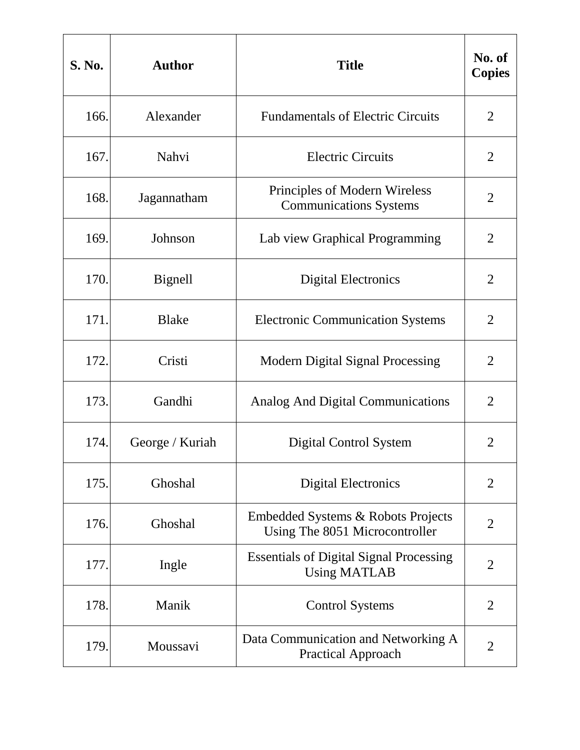| S. No. | <b>Author</b>   | <b>Title</b>                                                          | No. of<br><b>Copies</b> |
|--------|-----------------|-----------------------------------------------------------------------|-------------------------|
| 166.   | Alexander       | <b>Fundamentals of Electric Circuits</b>                              | $\overline{2}$          |
| 167.   | Nahvi           | <b>Electric Circuits</b>                                              | 2                       |
| 168.   | Jagannatham     | Principles of Modern Wireless<br><b>Communications Systems</b>        | $\overline{2}$          |
| 169.   | Johnson         | Lab view Graphical Programming                                        | $\overline{2}$          |
| 170.   | Bignell         | <b>Digital Electronics</b>                                            | $\overline{2}$          |
| 171.   | <b>Blake</b>    | <b>Electronic Communication Systems</b>                               | $\overline{2}$          |
| 172.   | Cristi          | <b>Modern Digital Signal Processing</b>                               | $\overline{2}$          |
| 173.   | Gandhi          | <b>Analog And Digital Communications</b>                              | $\overline{2}$          |
| 174.   | George / Kuriah | Digital Control System                                                | 2                       |
| 175.   | Ghoshal         | <b>Digital Electronics</b>                                            | $\overline{2}$          |
| 176.   | Ghoshal         | Embedded Systems & Robots Projects<br>Using The 8051 Microcontroller  | $\overline{2}$          |
| 177.   | Ingle           | <b>Essentials of Digital Signal Processing</b><br><b>Using MATLAB</b> | $\overline{2}$          |
| 178.   | Manik           | <b>Control Systems</b>                                                | $\overline{2}$          |
| 179.   | Moussavi        | Data Communication and Networking A<br><b>Practical Approach</b>      | $\overline{2}$          |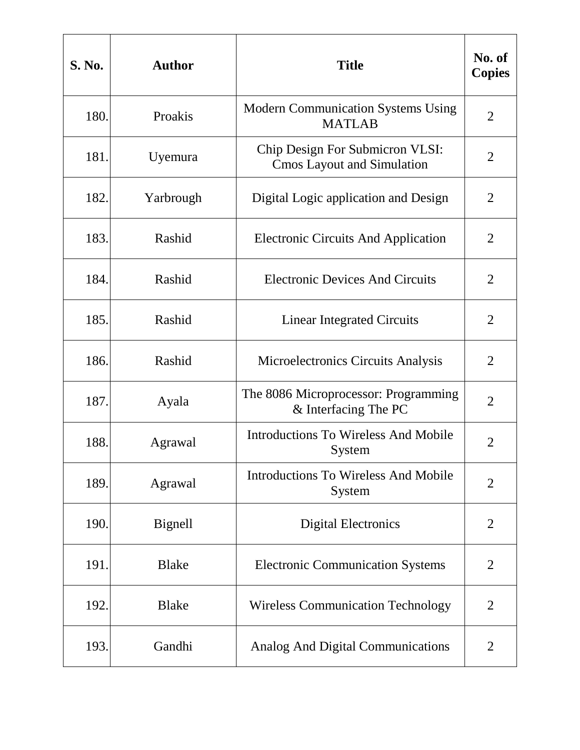| <b>S. No.</b> | <b>Author</b> | <b>Title</b>                                                         | No. of<br><b>Copies</b> |
|---------------|---------------|----------------------------------------------------------------------|-------------------------|
| 180.          | Proakis       | <b>Modern Communication Systems Using</b><br><b>MATLAB</b>           | $\overline{2}$          |
| 181.          | Uyemura       | Chip Design For Submicron VLSI:<br><b>Cmos Layout and Simulation</b> | 2                       |
| 182.          | Yarbrough     | Digital Logic application and Design                                 | $\overline{2}$          |
| 183.          | Rashid        | <b>Electronic Circuits And Application</b>                           | $\overline{2}$          |
| 184.          | Rashid        | <b>Electronic Devices And Circuits</b>                               | $\overline{2}$          |
| 185.          | Rashid        | <b>Linear Integrated Circuits</b>                                    | $\overline{2}$          |
| 186.          | Rashid        | Microelectronics Circuits Analysis                                   | $\overline{2}$          |
| 187.          | Ayala         | The 8086 Microprocessor: Programming<br>& Interfacing The PC         | $\overline{2}$          |
| 188.          | Agrawal       | <b>Introductions To Wireless And Mobile</b><br>System                | $\overline{2}$          |
| 189.          | Agrawal       | <b>Introductions To Wireless And Mobile</b><br>System                | $\overline{2}$          |
| 190.          | Bignell       | <b>Digital Electronics</b>                                           | $\overline{2}$          |
| 191.          | <b>Blake</b>  | <b>Electronic Communication Systems</b>                              | $\overline{2}$          |
| 192.          | <b>Blake</b>  | <b>Wireless Communication Technology</b>                             | $\overline{2}$          |
| 193.          | Gandhi        | Analog And Digital Communications                                    | $\overline{2}$          |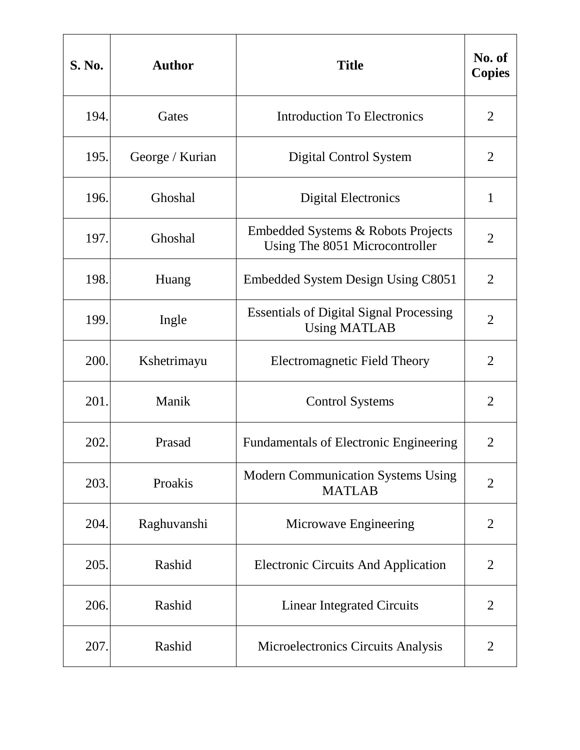| <b>S. No.</b> | <b>Author</b>   | <b>Title</b>                                                          | No. of<br><b>Copies</b> |
|---------------|-----------------|-----------------------------------------------------------------------|-------------------------|
| 194.          | Gates           | <b>Introduction To Electronics</b>                                    | $\overline{2}$          |
| 195.          | George / Kurian | Digital Control System                                                | $\overline{2}$          |
| 196.          | Ghoshal         | <b>Digital Electronics</b>                                            | $\mathbf{1}$            |
| 197.          | Ghoshal         | Embedded Systems & Robots Projects<br>Using The 8051 Microcontroller  | $\overline{2}$          |
| 198.          | Huang           | Embedded System Design Using C8051                                    | $\overline{2}$          |
| 199.          | Ingle           | <b>Essentials of Digital Signal Processing</b><br><b>Using MATLAB</b> | $\overline{2}$          |
| 200.          | Kshetrimayu     | <b>Electromagnetic Field Theory</b>                                   | $\overline{2}$          |
| 201.          | Manik           | <b>Control Systems</b>                                                | $\overline{2}$          |
| 202.          | Prasad          | <b>Fundamentals of Electronic Engineering</b>                         | $\overline{2}$          |
| 203.          | Proakis         | <b>Modern Communication Systems Using</b><br><b>MATLAB</b>            | $\overline{2}$          |
| 204.          | Raghuvanshi     | Microwave Engineering                                                 | $\overline{2}$          |
| 205.          | Rashid          | <b>Electronic Circuits And Application</b>                            | $\overline{2}$          |
| 206.          | Rashid          | <b>Linear Integrated Circuits</b>                                     | $\overline{2}$          |
| 207.          | Rashid          | Microelectronics Circuits Analysis                                    | $\overline{2}$          |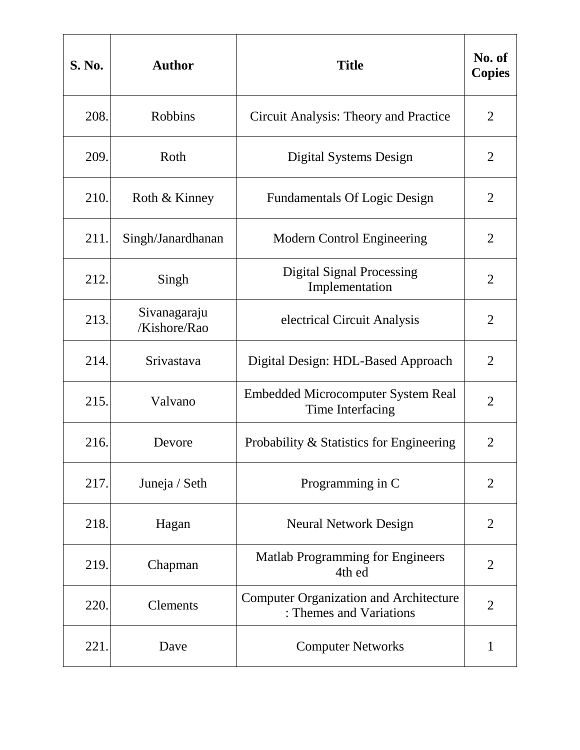| <b>S. No.</b> | <b>Author</b>                | <b>Title</b>                                                             | No. of<br><b>Copies</b> |
|---------------|------------------------------|--------------------------------------------------------------------------|-------------------------|
| 208.          | <b>Robbins</b>               | Circuit Analysis: Theory and Practice                                    | $\overline{2}$          |
| 209.          | Roth                         | Digital Systems Design                                                   | 2                       |
| 210.          | Roth & Kinney                | <b>Fundamentals Of Logic Design</b>                                      | $\overline{2}$          |
| 211.          | Singh/Janardhanan            | <b>Modern Control Engineering</b>                                        | $\overline{2}$          |
| 212.          | Singh                        | <b>Digital Signal Processing</b><br>Implementation                       | $\overline{2}$          |
| 213.          | Sivanagaraju<br>/Kishore/Rao | electrical Circuit Analysis                                              | $\overline{2}$          |
| 214.          | Srivastava                   | Digital Design: HDL-Based Approach                                       | $\overline{2}$          |
| 215.          | Valvano                      | <b>Embedded Microcomputer System Real</b><br>Time Interfacing            | $\overline{2}$          |
| 216.          | Devore                       | Probability & Statistics for Engineering                                 | $\overline{2}$          |
| 217.          | Juneja / Seth                | Programming in C                                                         | $\overline{2}$          |
| 218.          | Hagan                        | <b>Neural Network Design</b>                                             | $\overline{2}$          |
| 219.          | Chapman                      | <b>Matlab Programming for Engineers</b><br>4th ed                        | $\overline{2}$          |
| 220.          | <b>Clements</b>              | <b>Computer Organization and Architecture</b><br>: Themes and Variations | $\overline{2}$          |
| 221.          | Dave                         | <b>Computer Networks</b>                                                 | 1                       |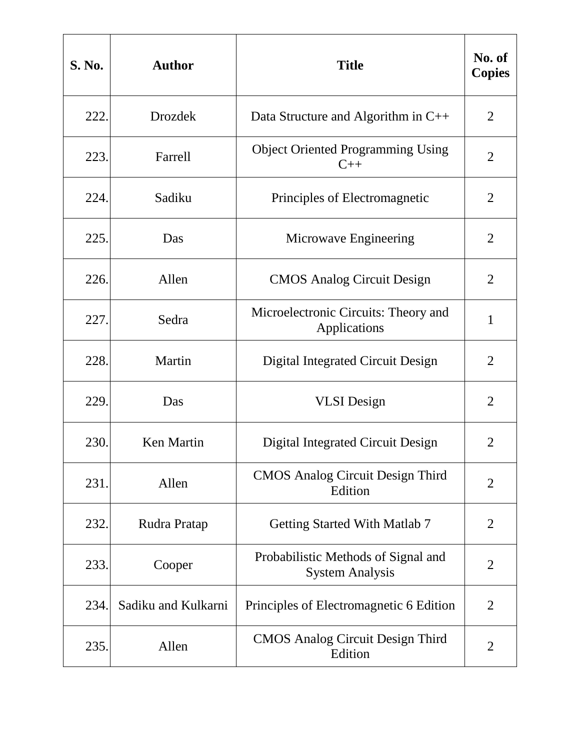| <b>S. No.</b> | <b>Author</b>       | <b>Title</b>                                                  | No. of<br><b>Copies</b> |
|---------------|---------------------|---------------------------------------------------------------|-------------------------|
| 222.          | <b>Drozdek</b>      | Data Structure and Algorithm in C++                           | $\overline{2}$          |
| 223.          | Farrell             | <b>Object Oriented Programming Using</b><br>$C++$             | 2                       |
| 224.          | Sadiku              | Principles of Electromagnetic                                 | $\overline{2}$          |
| 225.          | Das                 | Microwave Engineering                                         | $\overline{2}$          |
| 226.          | Allen               | <b>CMOS Analog Circuit Design</b>                             | $\overline{2}$          |
| 227.          | Sedra               | Microelectronic Circuits: Theory and<br>Applications          | $\mathbf{1}$            |
| 228.          | Martin              | <b>Digital Integrated Circuit Design</b>                      | $\overline{2}$          |
| 229.          | Das                 | <b>VLSI</b> Design                                            | $\overline{2}$          |
| 230.          | Ken Martin          | Digital Integrated Circuit Design                             | $\overline{2}$          |
| 231.          | Allen               | <b>CMOS Analog Circuit Design Third</b><br>Edition            | $\overline{2}$          |
| 232.          | Rudra Pratap        | <b>Getting Started With Matlab 7</b>                          | $\overline{2}$          |
| 233.          | Cooper              | Probabilistic Methods of Signal and<br><b>System Analysis</b> | $\overline{2}$          |
| 234.          | Sadiku and Kulkarni | Principles of Electromagnetic 6 Edition                       | $\overline{2}$          |
| 235.          | Allen               | <b>CMOS</b> Analog Circuit Design Third<br>Edition            | 2                       |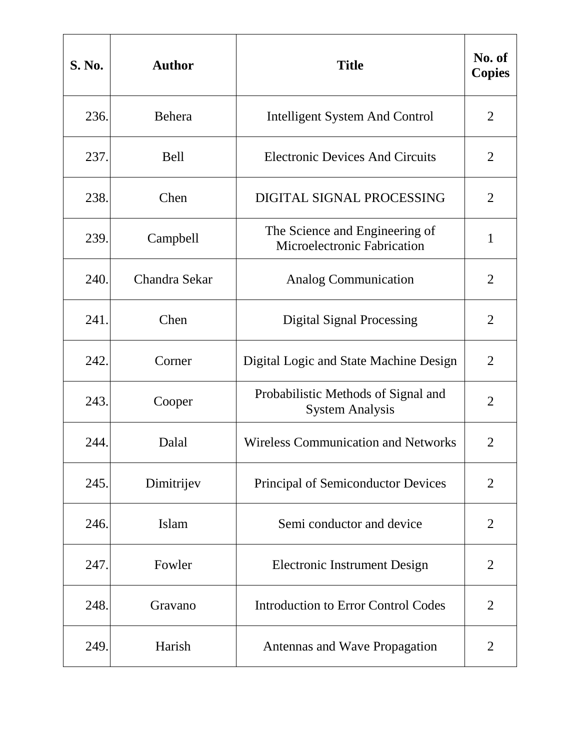| <b>S. No.</b> | <b>Author</b> | <b>Title</b>                                                  | No. of<br><b>Copies</b> |
|---------------|---------------|---------------------------------------------------------------|-------------------------|
| 236.          | Behera        | <b>Intelligent System And Control</b>                         | $\overline{2}$          |
| 237.          | Bell          | <b>Electronic Devices And Circuits</b>                        | 2                       |
| 238.          | Chen          | DIGITAL SIGNAL PROCESSING                                     | $\overline{2}$          |
| 239.          | Campbell      | The Science and Engineering of<br>Microelectronic Fabrication | $\mathbf{1}$            |
| 240.          | Chandra Sekar | <b>Analog Communication</b>                                   | $\overline{2}$          |
| 241.          | Chen          | <b>Digital Signal Processing</b>                              | $\overline{2}$          |
| 242.          | Corner        | Digital Logic and State Machine Design                        | $\overline{2}$          |
| 243.          | Cooper        | Probabilistic Methods of Signal and<br><b>System Analysis</b> | $\overline{2}$          |
| 244.          | Dalal         | <b>Wireless Communication and Networks</b>                    | $\overline{2}$          |
| 245.          | Dimitrijev    | <b>Principal of Semiconductor Devices</b>                     | $\overline{2}$          |
| 246.          | Islam         | Semi conductor and device                                     | $\overline{2}$          |
| 247.          | Fowler        | <b>Electronic Instrument Design</b>                           | $\overline{2}$          |
| 248.          | Gravano       | <b>Introduction to Error Control Codes</b>                    | $\overline{2}$          |
| 249.          | Harish        | Antennas and Wave Propagation                                 | $\overline{2}$          |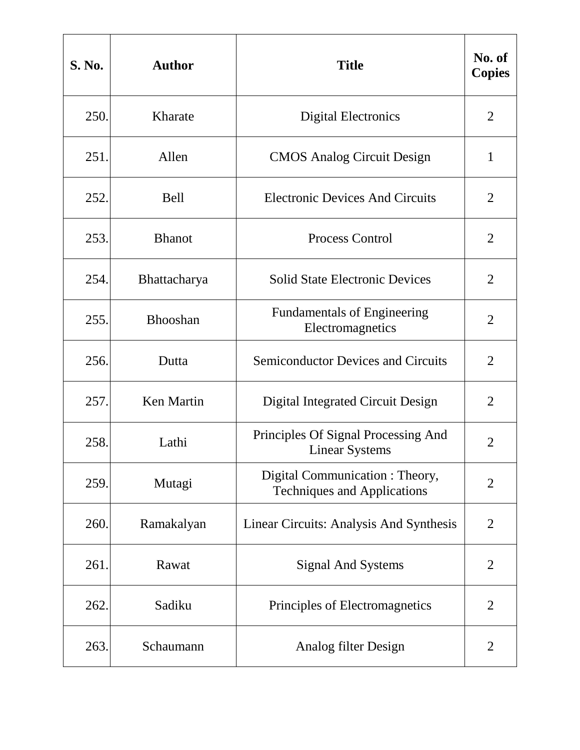| <b>S. No.</b> | <b>Author</b>     | <b>Title</b>                                                         | No. of<br><b>Copies</b> |
|---------------|-------------------|----------------------------------------------------------------------|-------------------------|
| 250.          | Kharate           | <b>Digital Electronics</b>                                           | $\overline{2}$          |
| 251.          | Allen             | <b>CMOS</b> Analog Circuit Design                                    | 1                       |
| 252.          | Bell              | <b>Electronic Devices And Circuits</b>                               | $\overline{2}$          |
| 253.          | <b>Bhanot</b>     | Process Control                                                      | $\overline{2}$          |
| 254.          | Bhattacharya      | <b>Solid State Electronic Devices</b>                                | $\overline{2}$          |
| 255.          | <b>Bhooshan</b>   | <b>Fundamentals of Engineering</b><br>Electromagnetics               | $\overline{2}$          |
| 256.          | Dutta             | <b>Semiconductor Devices and Circuits</b>                            | $\overline{2}$          |
| 257.          | <b>Ken Martin</b> | Digital Integrated Circuit Design                                    | $\overline{2}$          |
| 258.          | Lathi             | Principles Of Signal Processing And<br><b>Linear Systems</b>         | 2                       |
| 259.          | Mutagi            | Digital Communication: Theory,<br><b>Techniques and Applications</b> | $\overline{2}$          |
| 260.          | Ramakalyan        | Linear Circuits: Analysis And Synthesis                              | $\overline{2}$          |
| 261.          | Rawat             | Signal And Systems                                                   | 2                       |
| 262.          | Sadiku            | Principles of Electromagnetics                                       | $\overline{2}$          |
| 263.          | Schaumann         | Analog filter Design                                                 | $\overline{2}$          |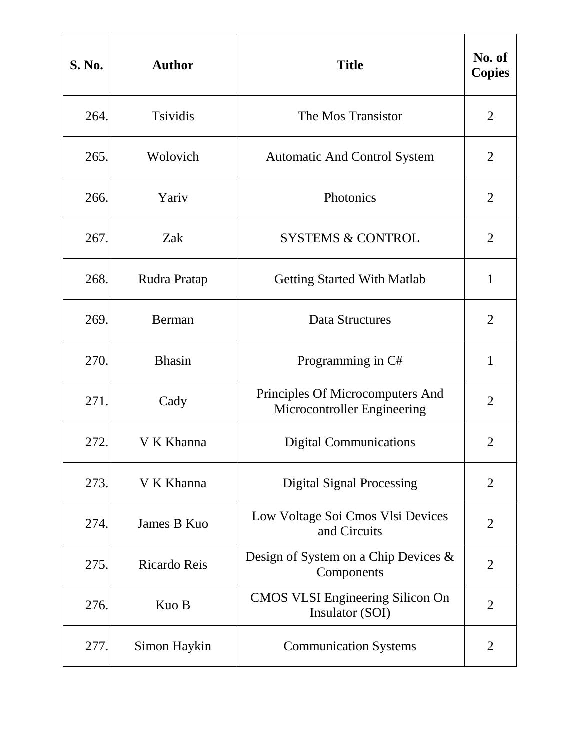| <b>S. No.</b> | <b>Author</b>   | <b>Title</b>                                                    | No. of<br><b>Copies</b> |
|---------------|-----------------|-----------------------------------------------------------------|-------------------------|
| 264.          | <b>Tsividis</b> | The Mos Transistor                                              | $\overline{2}$          |
| 265.          | Wolovich        | <b>Automatic And Control System</b>                             | $\overline{2}$          |
| 266.          | Yariv           | Photonics                                                       | $\overline{2}$          |
| 267.          | Zak             | <b>SYSTEMS &amp; CONTROL</b>                                    | $\overline{2}$          |
| 268.          | Rudra Pratap    | <b>Getting Started With Matlab</b>                              | $\mathbf{1}$            |
| 269.          | Berman          | <b>Data Structures</b>                                          | $\overline{2}$          |
| 270.          | <b>Bhasin</b>   | Programming in C#                                               | 1                       |
| 271.          | Cady            | Principles Of Microcomputers And<br>Microcontroller Engineering | $\overline{2}$          |
| 272.          | V K Khanna      | <b>Digital Communications</b>                                   | $\overline{2}$          |
| 273.          | V K Khanna      | <b>Digital Signal Processing</b>                                | $\overline{2}$          |
| 274.          | James B Kuo     | Low Voltage Soi Cmos Vlsi Devices<br>and Circuits               | $\overline{2}$          |
| 275.          | Ricardo Reis    | Design of System on a Chip Devices $\&$<br>Components           | $\overline{2}$          |
| 276.          | Kuo B           | <b>CMOS VLSI Engineering Silicon On</b><br>Insulator (SOI)      | $\overline{2}$          |
| 277.          | Simon Haykin    | <b>Communication Systems</b>                                    | $\overline{2}$          |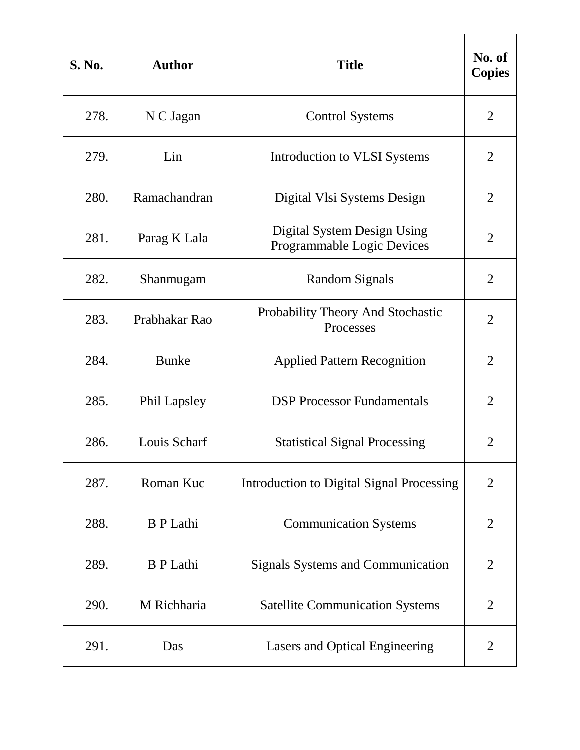| <b>S. No.</b> | <b>Author</b>    | <b>Title</b>                                              | No. of<br><b>Copies</b> |
|---------------|------------------|-----------------------------------------------------------|-------------------------|
| 278.          | N C Jagan        | <b>Control Systems</b>                                    | $\overline{2}$          |
| 279.          | Lin              | Introduction to VLSI Systems                              | 2                       |
| 280.          | Ramachandran     | Digital Vlsi Systems Design                               | $\overline{2}$          |
| 281.          | Parag K Lala     | Digital System Design Using<br>Programmable Logic Devices | $\overline{2}$          |
| 282.          | Shanmugam        | Random Signals                                            | $\overline{2}$          |
| 283.          | Prabhakar Rao    | Probability Theory And Stochastic<br>Processes            | $\overline{2}$          |
| 284.          | <b>Bunke</b>     | <b>Applied Pattern Recognition</b>                        | $\overline{2}$          |
| 285.          | Phil Lapsley     | <b>DSP</b> Processor Fundamentals                         | $\overline{2}$          |
| 286.          | Louis Scharf     | <b>Statistical Signal Processing</b>                      | $\overline{2}$          |
| 287.          | Roman Kuc        | <b>Introduction to Digital Signal Processing</b>          | $\overline{2}$          |
| 288.          | <b>B</b> P Lathi | <b>Communication Systems</b>                              | $\overline{2}$          |
| 289.          | <b>B</b> P Lathi | <b>Signals Systems and Communication</b>                  | $\overline{2}$          |
| 290.          | M Richharia      | <b>Satellite Communication Systems</b>                    | $\overline{2}$          |
| 291.          | Das              | Lasers and Optical Engineering                            | $\overline{2}$          |